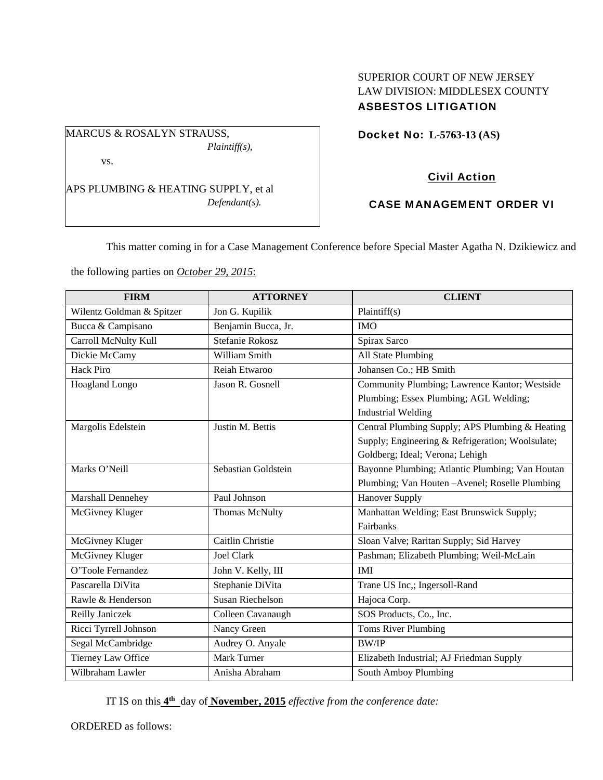## SUPERIOR COURT OF NEW JERSEY LAW DIVISION: MIDDLESEX COUNTY ASBESTOS LITIGATION

Docket No: **L-5763-13 (AS)** 

# Civil Action

### CASE MANAGEMENT ORDER VI

This matter coming in for a Case Management Conference before Special Master Agatha N. Dzikiewicz and

the following parties on *October 29, 2015*:

APS PLUMBING & HEATING SUPPLY, et al

MARCUS & ROSALYN STRAUSS,

vs.

*Plaintiff(s),* 

*Defendant(s).* 

| <b>FIRM</b>               | <b>ATTORNEY</b>       | <b>CLIENT</b>                                    |
|---------------------------|-----------------------|--------------------------------------------------|
| Wilentz Goldman & Spitzer | Jon G. Kupilik        | Plaintiff(s)                                     |
| Bucca & Campisano         | Benjamin Bucca, Jr.   | <b>IMO</b>                                       |
| Carroll McNulty Kull      | Stefanie Rokosz       | Spirax Sarco                                     |
| Dickie McCamy             | William Smith         | All State Plumbing                               |
| Hack Piro                 | Reiah Etwaroo         | Johansen Co.; HB Smith                           |
| Hoagland Longo            | Jason R. Gosnell      | Community Plumbing; Lawrence Kantor; Westside    |
|                           |                       | Plumbing; Essex Plumbing; AGL Welding;           |
|                           |                       | <b>Industrial Welding</b>                        |
| Margolis Edelstein        | Justin M. Bettis      | Central Plumbing Supply; APS Plumbing & Heating  |
|                           |                       | Supply; Engineering & Refrigeration; Woolsulate; |
|                           |                       | Goldberg; Ideal; Verona; Lehigh                  |
| Marks O'Neill             | Sebastian Goldstein   | Bayonne Plumbing; Atlantic Plumbing; Van Houtan  |
|                           |                       | Plumbing; Van Houten -Avenel; Roselle Plumbing   |
| Marshall Dennehey         | Paul Johnson          | <b>Hanover Supply</b>                            |
| McGivney Kluger           | <b>Thomas McNulty</b> | Manhattan Welding; East Brunswick Supply;        |
|                           |                       | Fairbanks                                        |
| McGivney Kluger           | Caitlin Christie      | Sloan Valve; Raritan Supply; Sid Harvey          |
| McGivney Kluger           | <b>Joel Clark</b>     | Pashman; Elizabeth Plumbing; Weil-McLain         |
| O'Toole Fernandez         | John V. Kelly, III    | <b>IMI</b>                                       |
| Pascarella DiVita         | Stephanie DiVita      | Trane US Inc,; Ingersoll-Rand                    |
| Rawle & Henderson         | Susan Riechelson      | Hajoca Corp.                                     |
| Reilly Janiczek           | Colleen Cavanaugh     | SOS Products, Co., Inc.                          |
| Ricci Tyrrell Johnson     | Nancy Green           | Toms River Plumbing                              |
| Segal McCambridge         | Audrey O. Anyale      | <b>BW/IP</b>                                     |
| Tierney Law Office        | <b>Mark Turner</b>    | Elizabeth Industrial; AJ Friedman Supply         |
| Wilbraham Lawler          | Anisha Abraham        | South Amboy Plumbing                             |

IT IS on this **4th** day of **November, 2015** *effective from the conference date:* 

ORDERED as follows: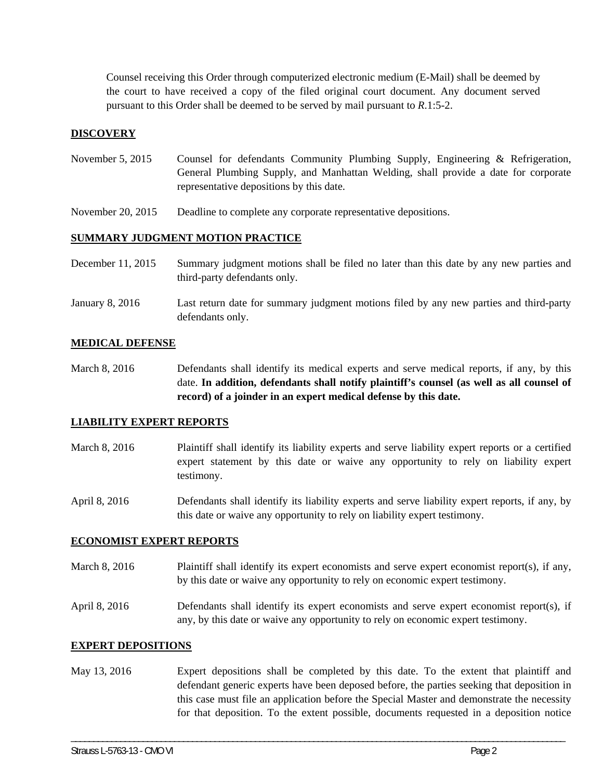Counsel receiving this Order through computerized electronic medium (E-Mail) shall be deemed by the court to have received a copy of the filed original court document. Any document served pursuant to this Order shall be deemed to be served by mail pursuant to *R*.1:5-2.

### **DISCOVERY**

- November 5, 2015 Counsel for defendants Community Plumbing Supply, Engineering & Refrigeration, General Plumbing Supply, and Manhattan Welding, shall provide a date for corporate representative depositions by this date.
- November 20, 2015 Deadline to complete any corporate representative depositions.

### **SUMMARY JUDGMENT MOTION PRACTICE**

defendants only.

| December 11, 2015 | Summary judgment motions shall be filed no later than this date by any new parties and<br>third-party defendants only. |
|-------------------|------------------------------------------------------------------------------------------------------------------------|
| January 8, 2016   | Last return date for summary judgment motions filed by any new parties and third-party                                 |

#### **MEDICAL DEFENSE**

March 8, 2016 Defendants shall identify its medical experts and serve medical reports, if any, by this date. **In addition, defendants shall notify plaintiff's counsel (as well as all counsel of record) of a joinder in an expert medical defense by this date.** 

#### **LIABILITY EXPERT REPORTS**

- March 8, 2016 Plaintiff shall identify its liability experts and serve liability expert reports or a certified expert statement by this date or waive any opportunity to rely on liability expert testimony.
- April 8, 2016 Defendants shall identify its liability experts and serve liability expert reports, if any, by this date or waive any opportunity to rely on liability expert testimony.

#### **ECONOMIST EXPERT REPORTS**

March 8, 2016 Plaintiff shall identify its expert economists and serve expert economist report(s), if any, by this date or waive any opportunity to rely on economic expert testimony.

April 8, 2016 Defendants shall identify its expert economists and serve expert economist report(s), if any, by this date or waive any opportunity to rely on economic expert testimony.

#### **EXPERT DEPOSITIONS**

May 13, 2016 Expert depositions shall be completed by this date. To the extent that plaintiff and defendant generic experts have been deposed before, the parties seeking that deposition in this case must file an application before the Special Master and demonstrate the necessity for that deposition. To the extent possible, documents requested in a deposition notice

\_\_\_\_\_\_\_\_\_\_\_\_\_\_\_\_\_\_\_\_\_\_\_\_\_\_\_\_\_\_\_\_\_\_\_\_\_\_\_\_\_\_\_\_\_\_\_\_\_\_\_\_\_\_\_\_\_\_\_\_\_\_\_\_\_\_\_\_\_\_\_\_\_\_\_\_\_\_\_\_\_\_\_\_\_\_\_\_\_\_\_\_\_\_\_\_\_\_\_\_\_\_\_\_\_\_\_\_\_\_